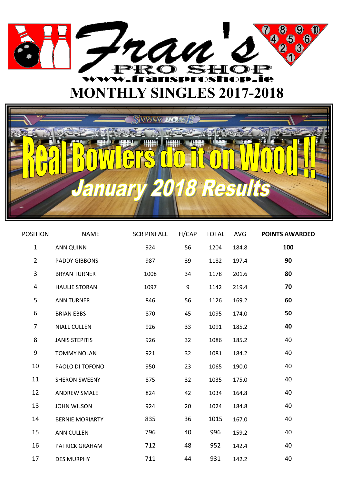



| <b>POSITION</b> | <b>NAME</b>            | SCR PINFALL H/CAP |    | TOTAL | AVG   | <b>POINTS AWARDED</b> |
|-----------------|------------------------|-------------------|----|-------|-------|-----------------------|
| $\mathbf{1}$    | <b>ANN QUINN</b>       | 924               | 56 | 1204  | 184.8 | 100                   |
| $\overline{2}$  | <b>PADDY GIBBONS</b>   | 987               | 39 | 1182  | 197.4 | 90                    |
| 3               | <b>BRYAN TURNER</b>    | 1008              | 34 | 1178  | 201.6 | 80                    |
| 4               | <b>HAULIE STORAN</b>   | 1097              | 9  | 1142  | 219.4 | 70                    |
| 5               | <b>ANN TURNER</b>      | 846               | 56 | 1126  | 169.2 | 60                    |
| 6               | <b>BRIAN EBBS</b>      | 870               | 45 | 1095  | 174.0 | 50                    |
| 7               | <b>NIALL CULLEN</b>    | 926               | 33 | 1091  | 185.2 | 40                    |
| 8               | <b>JANIS STEPITIS</b>  | 926               | 32 | 1086  | 185.2 | 40                    |
| 9               | <b>TOMMY NOLAN</b>     | 921               | 32 | 1081  | 184.2 | 40                    |
| 10              | PAOLO DI TOFONO        | 950               | 23 | 1065  | 190.0 | 40                    |
| 11              | <b>SHERON SWEENY</b>   | 875               | 32 | 1035  | 175.0 | 40                    |
| 12              | <b>ANDREW SMALE</b>    | 824               | 42 | 1034  | 164.8 | 40                    |
| 13              | <b>JOHN WILSON</b>     | 924               | 20 | 1024  | 184.8 | 40                    |
| 14              | <b>BERNIE MORIARTY</b> | 835               | 36 | 1015  | 167.0 | 40                    |
| 15              | <b>ANN CULLEN</b>      | 796               | 40 | 996   | 159.2 | 40                    |
| 16              | PATRICK GRAHAM         | 712               | 48 | 952   | 142.4 | 40                    |
| 17              | <b>DES MURPHY</b>      | 711               | 44 | 931   | 142.2 | 40                    |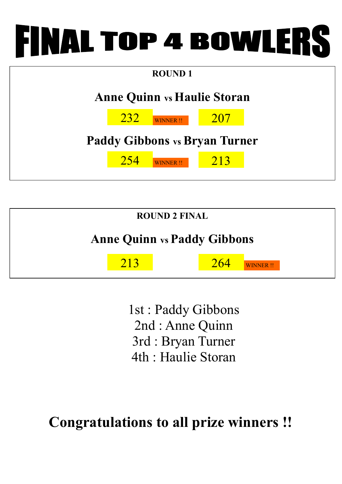## **INAL TOP 4 BOWLERS**





1st : Paddy Gibbons 2nd : Anne Quinn 3rd : Bryan Turner 4th : Haulie Storan

**Congratulations to all prize winners !!**